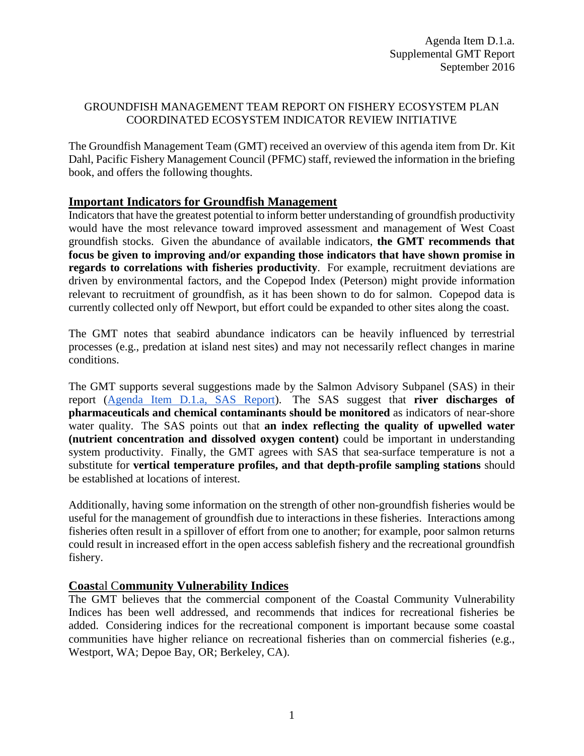# GROUNDFISH MANAGEMENT TEAM REPORT ON FISHERY ECOSYSTEM PLAN COORDINATED ECOSYSTEM INDICATOR REVIEW INITIATIVE

The Groundfish Management Team (GMT) received an overview of this agenda item from Dr. Kit Dahl, Pacific Fishery Management Council (PFMC) staff, reviewed the information in the briefing book, and offers the following thoughts.

# **Important Indicators for Groundfish Management**

Indicators that have the greatest potential to inform better understanding of groundfish productivity would have the most relevance toward improved assessment and management of West Coast groundfish stocks. Given the abundance of available indicators, **the GMT recommends that focus be given to improving and/or expanding those indicators that have shown promise in regards to correlations with fisheries productivity**. For example, recruitment deviations are driven by environmental factors, and the Copepod Index (Peterson) might provide information relevant to recruitment of groundfish, as it has been shown to do for salmon. Copepod data is currently collected only off Newport, but effort could be expanded to other sites along the coast.

The GMT notes that seabird abundance indicators can be heavily influenced by terrestrial processes (e.g., predation at island nest sites) and may not necessarily reflect changes in marine conditions.

The GMT supports several suggestions made by the Salmon Advisory Subpanel (SAS) in their report [\(Agenda Item D.1.a,](http://www.pcouncil.org/wp-content/uploads/2016/08/D1a_SAS_Rpt_SEPT2016BB.pdf) SAS Report). The SAS suggest that **river discharges of pharmaceuticals and chemical contaminants should be monitored** as indicators of near-shore water quality. The SAS points out that **an index reflecting the quality of upwelled water (nutrient concentration and dissolved oxygen content)** could be important in understanding system productivity. Finally, the GMT agrees with SAS that sea-surface temperature is not a substitute for **vertical temperature profiles, and that depth-profile sampling stations** should be established at locations of interest.

Additionally, having some information on the strength of other non-groundfish fisheries would be useful for the management of groundfish due to interactions in these fisheries. Interactions among fisheries often result in a spillover of effort from one to another; for example, poor salmon returns could result in increased effort in the open access sablefish fishery and the recreational groundfish fishery.

# **Coast**al C**ommunity Vulnerability Indices**

The GMT believes that the commercial component of the Coastal Community Vulnerability Indices has been well addressed, and recommends that indices for recreational fisheries be added. Considering indices for the recreational component is important because some coastal communities have higher reliance on recreational fisheries than on commercial fisheries (e.g., Westport, WA; Depoe Bay, OR; Berkeley, CA).